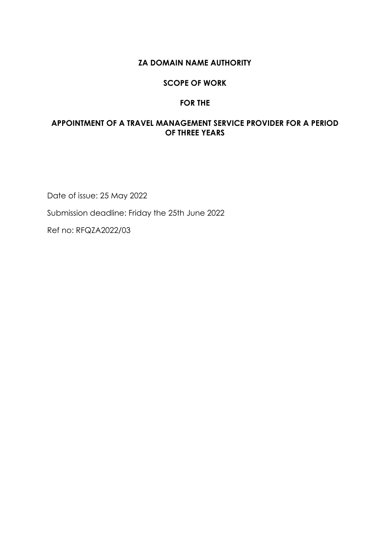#### **ZA DOMAIN NAME AUTHORITY**

#### **SCOPE OF WORK**

#### **FOR THE**

#### <span id="page-0-3"></span><span id="page-0-2"></span><span id="page-0-1"></span><span id="page-0-0"></span>**APPOINTMENT OF A TRAVEL MANAGEMENT SERVICE PROVIDER FOR A PERIOD OF THREE YEARS**

Date of issue: 25 May 2022 Submission deadline: Friday the 25th June 2022 Ref no: RFQZA2022/03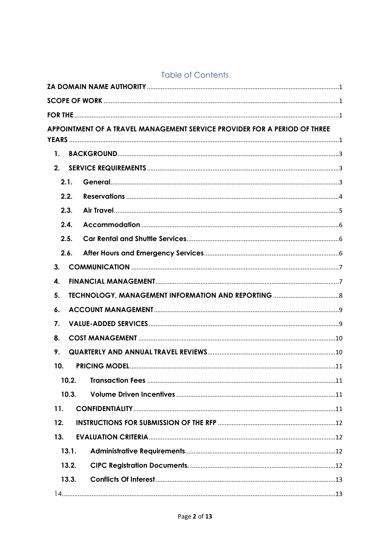| <b>Table of Contents</b> |
|--------------------------|
|--------------------------|

| APPOINTMENT OF A TRAVEL MANAGEMENT SERVICE PROVIDER FOR A PERIOD OF THREE |  |
|---------------------------------------------------------------------------|--|
| $\mathbf{1}$ .                                                            |  |
| 2.                                                                        |  |
| 2.1.                                                                      |  |
| 2.2.                                                                      |  |
| 2.3.                                                                      |  |
| 2.4.                                                                      |  |
| 2.5.                                                                      |  |
| 2.6.                                                                      |  |
| 3.                                                                        |  |
| 4.                                                                        |  |
| 5.                                                                        |  |
| 6.                                                                        |  |
| 7.                                                                        |  |
| 8.                                                                        |  |
| 9.                                                                        |  |
| 10.                                                                       |  |
| 10.2.                                                                     |  |
| 10.3.                                                                     |  |
| 11.                                                                       |  |
| 12.                                                                       |  |
| 13.                                                                       |  |
| 13.1.                                                                     |  |
| 13.2.                                                                     |  |
| 13.3.                                                                     |  |
|                                                                           |  |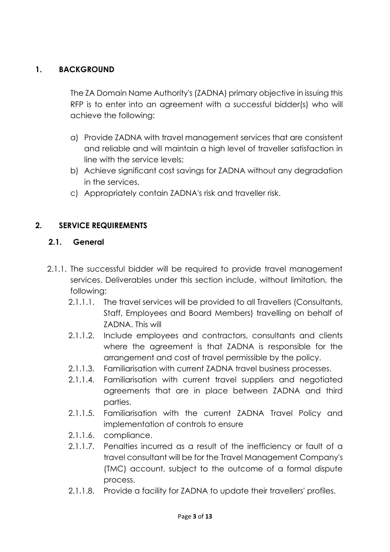## <span id="page-2-0"></span>**1. BACKGROUND**

The ZA Domain Name Authority's (ZADNA) primary objective in issuing this RFP is to enter into an agreement with a successful bidder(s) who will achieve the following:

- a) Provide ZADNA with travel management services that are consistent and reliable and will maintain a high level of traveller satisfaction in line with the service levels;
- b) Achieve significant cost savings for ZADNA without any degradation in the services.
- c) Appropriately contain ZADNA's risk and traveller risk.

# <span id="page-2-1"></span>**2. SERVICE REQUIREMENTS**

### <span id="page-2-2"></span>**2.1. General**

- 2.1.1. The successful bidder will be required to provide travel management services. Deliverables under this section include, without limitation, the following:
	- 2.1.1.1. The travel services will be provided to all Travellers (Consultants, Staff, Employees and Board Members) travelling on behalf of ZADNA. This will
	- 2.1.1.2. Include employees and contractors, consultants and clients where the agreement is that ZADNA is responsible for the arrangement and cost of travel permissible by the policy.
	- 2.1.1.3. Familiarisation with current ZADNA travel business processes.
	- 2.1.1.4. Familiarisation with current travel suppliers and negotiated agreements that are in place between ZADNA and third parties.
	- 2.1.1.5. Familiarisation with the current ZADNA Travel Policy and implementation of controls to ensure
	- 2.1.1.6. compliance.
	- 2.1.1.7. Penalties incurred as a result of the inefficiency or fault of a travel consultant will be for the Travel Management Company's (TMC) account, subject to the outcome of a formal dispute process.
	- 2.1.1.8. Provide a facility for ZADNA to update their travellers' profiles.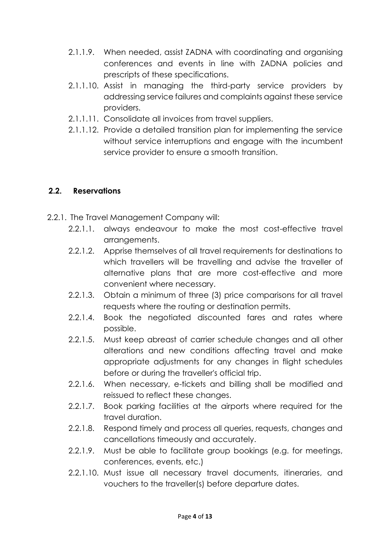- 2.1.1.9. When needed, assist ZADNA with coordinating and organising conferences and events in line with ZADNA policies and prescripts of these specifications.
- 2.1.1.10. Assist in managing the third-party service providers by addressing service failures and complaints against these service providers.
- 2.1.1.11. Consolidate all invoices from travel suppliers.
- 2.1.1.12. Provide a detailed transition plan for implementing the service without service interruptions and engage with the incumbent service provider to ensure a smooth transition.

## <span id="page-3-0"></span>**2.2. Reservations**

- 2.2.1. The Travel Management Company will:
	- 2.2.1.1. always endeavour to make the most cost-effective travel arrangements.
	- 2.2.1.2. Apprise themselves of all travel requirements for destinations to which travellers will be travelling and advise the traveller of alternative plans that are more cost-effective and more convenient where necessary.
	- 2.2.1.3. Obtain a minimum of three (3) price comparisons for all travel requests where the routing or destination permits.
	- 2.2.1.4. Book the negotiated discounted fares and rates where possible.
	- 2.2.1.5. Must keep abreast of carrier schedule changes and all other alterations and new conditions affecting travel and make appropriate adjustments for any changes in flight schedules before or during the traveller's official trip.
	- 2.2.1.6. When necessary, e-tickets and billing shall be modified and reissued to reflect these changes.
	- 2.2.1.7. Book parking facilities at the airports where required for the travel duration.
	- 2.2.1.8. Respond timely and process all queries, requests, changes and cancellations timeously and accurately.
	- 2.2.1.9. Must be able to facilitate group bookings (e.g. for meetings, conferences, events, etc.)
	- 2.2.1.10. Must issue all necessary travel documents, itineraries, and vouchers to the traveller(s) before departure dates.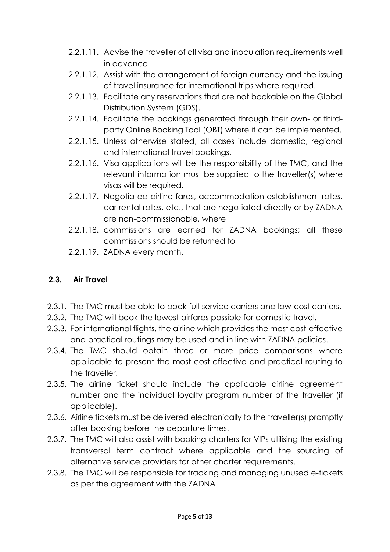- 2.2.1.11. Advise the traveller of all visa and inoculation requirements well in advance.
- 2.2.1.12. Assist with the arrangement of foreign currency and the issuing of travel insurance for international trips where required.
- 2.2.1.13. Facilitate any reservations that are not bookable on the Global Distribution System (GDS).
- 2.2.1.14. Facilitate the bookings generated through their own- or thirdparty Online Booking Tool (OBT) where it can be implemented.
- 2.2.1.15. Unless otherwise stated, all cases include domestic, regional and international travel bookings.
- 2.2.1.16. Visa applications will be the responsibility of the TMC, and the relevant information must be supplied to the traveller(s) where visas will be required.
- 2.2.1.17. Negotiated airline fares, accommodation establishment rates, car rental rates, etc., that are negotiated directly or by ZADNA are non-commissionable, where
- 2.2.1.18. commissions are earned for ZADNA bookings; all these commissions should be returned to
- 2.2.1.19. ZADNA every month.

# <span id="page-4-0"></span>**2.3. Air Travel**

- 2.3.1. The TMC must be able to book full-service carriers and low-cost carriers.
- 2.3.2. The TMC will book the lowest airfares possible for domestic travel.
- 2.3.3. For international flights, the airline which provides the most cost-effective and practical routings may be used and in line with ZADNA policies.
- 2.3.4. The TMC should obtain three or more price comparisons where applicable to present the most cost-effective and practical routing to the traveller.
- 2.3.5. The airline ticket should include the applicable airline agreement number and the individual loyalty program number of the traveller (if applicable).
- 2.3.6. Airline tickets must be delivered electronically to the traveller(s) promptly after booking before the departure times.
- 2.3.7. The TMC will also assist with booking charters for VIPs utilising the existing transversal term contract where applicable and the sourcing of alternative service providers for other charter requirements.
- 2.3.8. The TMC will be responsible for tracking and managing unused e-tickets as per the agreement with the ZADNA.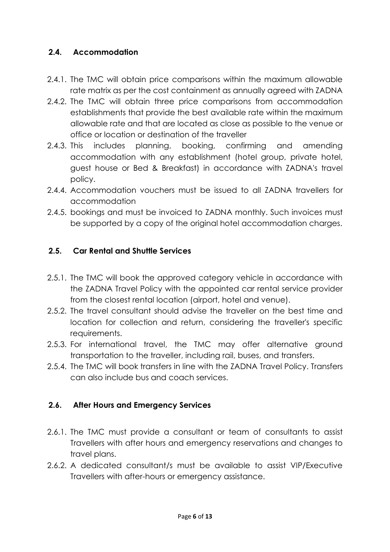## <span id="page-5-0"></span>**2.4. Accommodation**

- 2.4.1. The TMC will obtain price comparisons within the maximum allowable rate matrix as per the cost containment as annually agreed with ZADNA
- 2.4.2. The TMC will obtain three price comparisons from accommodation establishments that provide the best available rate within the maximum allowable rate and that are located as close as possible to the venue or office or location or destination of the traveller
- 2.4.3. This includes planning, booking, confirming and amending accommodation with any establishment (hotel group, private hotel, guest house or Bed & Breakfast) in accordance with ZADNA's travel policy.
- 2.4.4. Accommodation vouchers must be issued to all ZADNA travellers for accommodation
- 2.4.5. bookings and must be invoiced to ZADNA monthly. Such invoices must be supported by a copy of the original hotel accommodation charges.

### <span id="page-5-1"></span>**2.5. Car Rental and Shuttle Services**

- 2.5.1. The TMC will book the approved category vehicle in accordance with the ZADNA Travel Policy with the appointed car rental service provider from the closest rental location (airport, hotel and venue).
- 2.5.2. The travel consultant should advise the traveller on the best time and location for collection and return, considering the traveller's specific requirements.
- 2.5.3. For international travel, the TMC may offer alternative ground transportation to the traveller, including rail, buses, and transfers.
- 2.5.4. The TMC will book transfers in line with the ZADNA Travel Policy. Transfers can also include bus and coach services.

# <span id="page-5-2"></span>**2.6. After Hours and Emergency Services**

- 2.6.1. The TMC must provide a consultant or team of consultants to assist Travellers with after hours and emergency reservations and changes to travel plans.
- 2.6.2. A dedicated consultant/s must be available to assist VIP/Executive Travellers with after-hours or emergency assistance.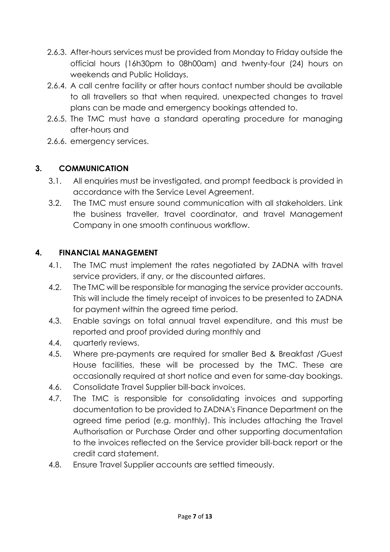- 2.6.3. After-hours services must be provided from Monday to Friday outside the official hours (16h30pm to 08h00am) and twenty-four (24) hours on weekends and Public Holidays.
- 2.6.4. A call centre facility or after hours contact number should be available to all travellers so that when required, unexpected changes to travel plans can be made and emergency bookings attended to.
- 2.6.5. The TMC must have a standard operating procedure for managing after-hours and
- 2.6.6. emergency services.

## <span id="page-6-0"></span>**3. COMMUNICATION**

- 3.1. All enquiries must be investigated, and prompt feedback is provided in accordance with the Service Level Agreement.
- 3.2. The TMC must ensure sound communication with all stakeholders. Link the business traveller, travel coordinator, and travel Management Company in one smooth continuous workflow.

# <span id="page-6-1"></span>**4. FINANCIAL MANAGEMENT**

- 4.1. The TMC must implement the rates negotiated by ZADNA with travel service providers, if any, or the discounted airfares.
- 4.2. The TMC will be responsible for managing the service provider accounts. This will include the timely receipt of invoices to be presented to ZADNA for payment within the agreed time period.
- 4.3. Enable savings on total annual travel expenditure, and this must be reported and proof provided during monthly and
- 4.4. quarterly reviews.
- 4.5. Where pre-payments are required for smaller Bed & Breakfast /Guest House facilities, these will be processed by the TMC. These are occasionally required at short notice and even for same-day bookings.
- 4.6. Consolidate Travel Supplier bill-back invoices.
- 4.7. The TMC is responsible for consolidating invoices and supporting documentation to be provided to ZADNA's Finance Department on the agreed time period (e.g. monthly). This includes attaching the Travel Authorisation or Purchase Order and other supporting documentation to the invoices reflected on the Service provider bill-back report or the credit card statement.
- 4.8. Ensure Travel Supplier accounts are settled timeously.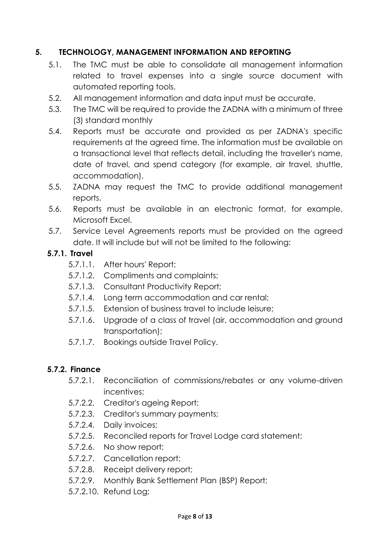## <span id="page-7-0"></span>**5. TECHNOLOGY, MANAGEMENT INFORMATION AND REPORTING**

- 5.1. The TMC must be able to consolidate all management information related to travel expenses into a single source document with automated reporting tools.
- 5.2. All management information and data input must be accurate.
- 5.3. The TMC will be required to provide the ZADNA with a minimum of three (3) standard monthly
- 5.4. Reports must be accurate and provided as per ZADNA's specific requirements at the agreed time. The information must be available on a transactional level that reflects detail, including the traveller's name, date of travel, and spend category (for example, air travel, shuttle, accommodation).
- 5.5. ZADNA may request the TMC to provide additional management reports.
- 5.6. Reports must be available in an electronic format, for example, Microsoft Excel.
- 5.7. Service Level Agreements reports must be provided on the agreed date. It will include but will not be limited to the following:

## **5.7.1. Travel**

- 5.7.1.1. After hours' Report;
- 5.7.1.2. Compliments and complaints;
- 5.7.1.3. Consultant Productivity Report;
- 5.7.1.4. Long term accommodation and car rental;
- 5.7.1.5. Extension of business travel to include leisure;
- 5.7.1.6. Upgrade of a class of travel (air, accommodation and ground transportation);
- 5.7.1.7. Bookings outside Travel Policy.

# **5.7.2. Finance**

- 5.7.2.1. Reconciliation of commissions/rebates or any volume-driven incentives;
- 5.7.2.2. Creditor's ageing Report;
- 5.7.2.3. Creditor's summary payments;
- 5.7.2.4. Daily invoices;
- 5.7.2.5. Reconciled reports for Travel Lodge card statement;
- 5.7.2.6. No show report;
- 5.7.2.7. Cancellation report;
- 5.7.2.8. Receipt delivery report;
- 5.7.2.9. Monthly Bank Settlement Plan (BSP) Report;
- 5.7.2.10. Refund Log;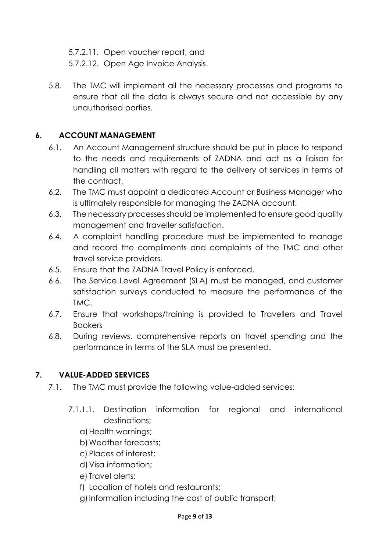5.7.2.11. Open voucher report, and

5.7.2.12. Open Age Invoice Analysis.

5.8. The TMC will implement all the necessary processes and programs to ensure that all the data is always secure and not accessible by any unauthorised parties.

# <span id="page-8-0"></span>**6. ACCOUNT MANAGEMENT**

- 6.1. An Account Management structure should be put in place to respond to the needs and requirements of ZADNA and act as a liaison for handling all matters with regard to the delivery of services in terms of the contract.
- 6.2. The TMC must appoint a dedicated Account or Business Manager who is ultimately responsible for managing the ZADNA account.
- 6.3. The necessary processes should be implemented to ensure good quality management and traveller satisfaction.
- 6.4. A complaint handling procedure must be implemented to manage and record the compliments and complaints of the TMC and other travel service providers.
- 6.5. Ensure that the ZADNA Travel Policy is enforced.
- 6.6. The Service Level Agreement (SLA) must be managed, and customer satisfaction surveys conducted to measure the performance of the TMC.
- 6.7. Ensure that workshops/training is provided to Travellers and Travel **Bookers**
- 6.8. During reviews, comprehensive reports on travel spending and the performance in terms of the SLA must be presented.

# <span id="page-8-1"></span>**7. VALUE-ADDED SERVICES**

- 7.1. The TMC must provide the following value-added services:
	- 7.1.1.1. Destination information for regional and international destinations;
		- a)Health warnings;
		- b)Weather forecasts;
		- c) Places of interest;
		- d)Visa information;
		- e) Travel alerts;
		- f) Location of hotels and restaurants;
		- g)Information including the cost of public transport;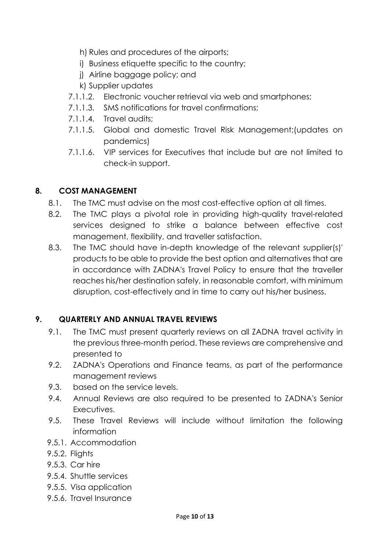- h) Rules and procedures of the airports;
- i) Business etiquette specific to the country;
- j) Airline baggage policy; and
- k) Supplier updates
- 7.1.1.2. Electronic voucher retrieval via web and smartphones;
- 7.1.1.3. SMS notifications for travel confirmations;
- 7.1.1.4. Travel audits;
- 7.1.1.5. Global and domestic Travel Risk Management;(updates on pandemics)
- 7.1.1.6. VIP services for Executives that include but are not limited to check-in support.

## <span id="page-9-0"></span>**8. COST MANAGEMENT**

- 8.1. The TMC must advise on the most cost-effective option at all times.
- 8.2. The TMC plays a pivotal role in providing high-quality travel-related services designed to strike a balance between effective cost management, flexibility, and traveller satisfaction.
- 8.3. The TMC should have in-depth knowledge of the relevant supplier(s)' products to be able to provide the best option and alternatives that are in accordance with ZADNA's Travel Policy to ensure that the traveller reaches his/her destination safely, in reasonable comfort, with minimum disruption, cost-effectively and in time to carry out his/her business.

# <span id="page-9-1"></span>**9. QUARTERLY AND ANNUAL TRAVEL REVIEWS**

- 9.1. The TMC must present quarterly reviews on all ZADNA travel activity in the previous three-month period. These reviews are comprehensive and presented to
- 9.2. ZADNA's Operations and Finance teams, as part of the performance management reviews
- 9.3. based on the service levels.
- 9.4. Annual Reviews are also required to be presented to ZADNA's Senior Executives.
- 9.5. These Travel Reviews will include without limitation the following information
- 9.5.1. Accommodation
- 9.5.2. Flights
- 9.5.3. Car hire
- 9.5.4. Shuttle services
- 9.5.5. Visa application
- 9.5.6. Travel Insurance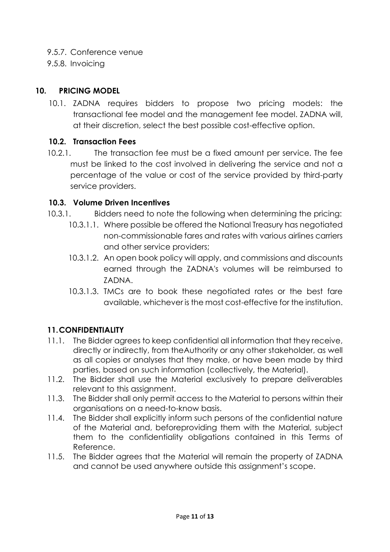- 9.5.7. Conference venue
- 9.5.8. Invoicing

### <span id="page-10-0"></span>**10. PRICING MODEL**

10.1. ZADNA requires bidders to propose two pricing models: the transactional fee model and the management fee model. ZADNA will, at their discretion, select the best possible cost-effective option.

#### <span id="page-10-1"></span>**10.2. Transaction Fees**

10.2.1. The transaction fee must be a fixed amount per service. The fee must be linked to the cost involved in delivering the service and not a percentage of the value or cost of the service provided by third-party service providers.

#### <span id="page-10-2"></span>**10.3. Volume Driven Incentives**

- 10.3.1. Bidders need to note the following when determining the pricing:
	- 10.3.1.1. Where possible be offered the National Treasury has negotiated non-commissionable fares and rates with various airlines carriers and other service providers;
	- 10.3.1.2. An open book policy will apply, and commissions and discounts earned through the ZADNA's volumes will be reimbursed to ZADNA.
	- 10.3.1.3. TMCs are to book these negotiated rates or the best fare available, whichever is the most cost-effective for the institution.

### <span id="page-10-3"></span>**11.CONFIDENTIALITY**

- 11.1. The Bidder agrees to keep confidential all information that they receive, directly or indirectly, from theAuthority or any other stakeholder, as well as all copies or analyses that they make, or have been made by third parties, based on such information (collectively, the Material).
- 11.2. The Bidder shall use the Material exclusively to prepare deliverables relevant to this assignment.
- 11.3. The Bidder shall only permit access to the Material to persons within their organisations on a need-to-know basis.
- 11.4. The Bidder shall explicitly inform such persons of the confidential nature of the Material and, beforeproviding them with the Material, subject them to the confidentiality obligations contained in this Terms of Reference.
- 11.5. The Bidder agrees that the Material will remain the property of ZADNA and cannot be used anywhere outside this assignment's scope.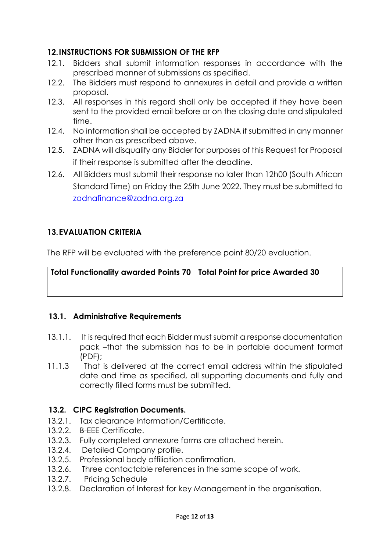### <span id="page-11-0"></span>**12.INSTRUCTIONS FOR SUBMISSION OF THE RFP**

- 12.1. Bidders shall submit information responses in accordance with the prescribed manner of submissions as specified.
- 12.2. The Bidders must respond to annexures in detail and provide a written proposal.
- 12.3. All responses in this regard shall only be accepted if they have been sent to the provided email before or on the closing date and stipulated time.
- 12.4. No information shall be accepted by ZADNA if submitted in any manner other than as prescribed above.
- 12.5. ZADNA will disqualify any Bidder for purposes of this Request for Proposal if their response is submitted after the deadline.
- 12.6. All Bidders must submit their response no later than 12h00 (South African Standard Time) on Friday the 25th June 2022. They must be submitted to zadnafinance@zadna.org.za

## <span id="page-11-1"></span>**13.EVALUATION CRITERIA**

The RFP will be evaluated with the preference point 80/20 evaluation.

| Total Functionality awarded Points 70   Total Point for price Awarded 30 |  |
|--------------------------------------------------------------------------|--|
|                                                                          |  |

### <span id="page-11-2"></span>**13.1. Administrative Requirements**

- 13.1.1. It is required that each Bidder must submit a response documentation pack –that the submission has to be in portable document format (PDF);
- 11.1.3 That is delivered at the correct email address within the stipulated date and time as specified, all supporting documents and fully and correctly filled forms must be submitted.

### <span id="page-11-3"></span>**13.2. CIPC Registration Documents.**

- 13.2.1. Tax clearance Information/Certificate.
- 13.2.2. B-EEE Certificate.
- 13.2.3. Fully completed annexure forms are attached herein.
- 13.2.4. Detailed Company profile.
- 13.2.5. Professional body affiliation confirmation.
- 13.2.6. Three contactable references in the same scope of work.
- 13.2.7. Pricing Schedule
- 13.2.8. Declaration of Interest for key Management in the organisation.